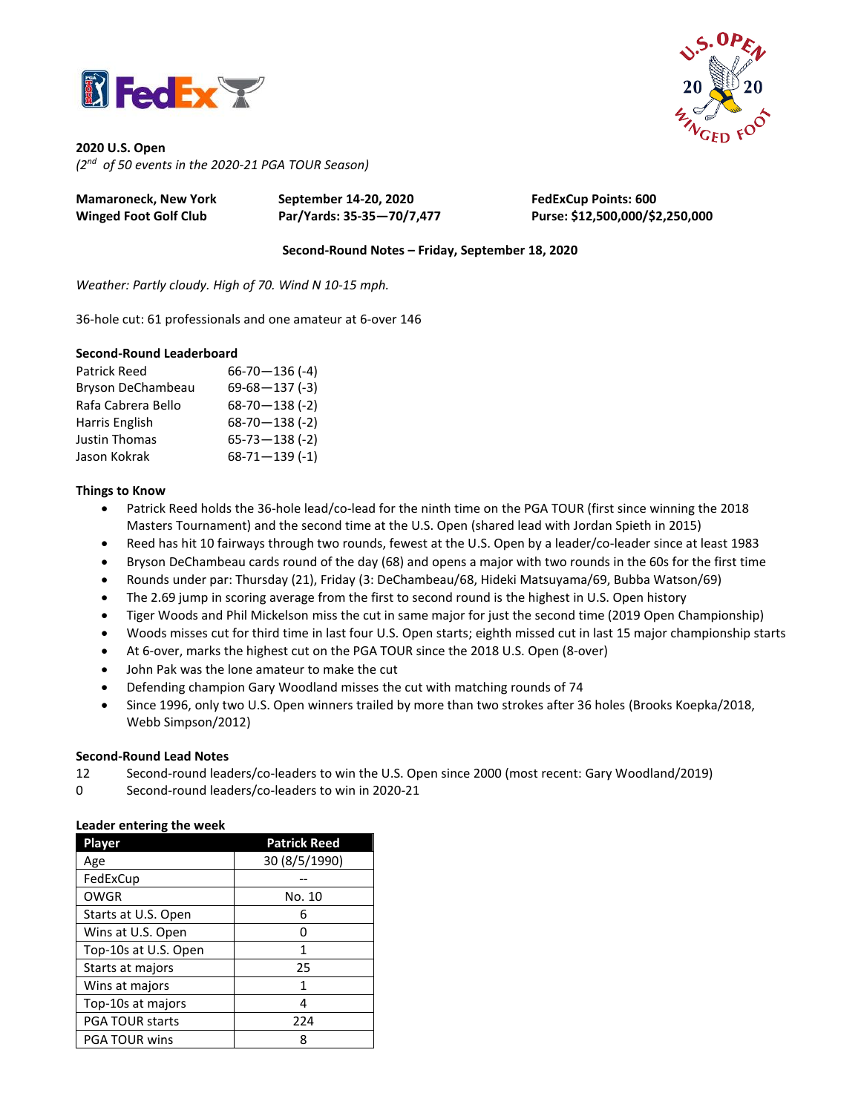



**2020 U.S. Open** *(2 nd of 50 events in the 2020-21 PGA TOUR Season)*

| Mamaroneck, New York  | September 14-20, 2020     | <b>FedExCup Points: 600</b>     |
|-----------------------|---------------------------|---------------------------------|
| Winged Foot Golf Club | Par/Yards: 35-35-70/7,477 | Purse: \$12,500,000/\$2,250,000 |

**Second-Round Notes – Friday, September 18, 2020**

*Weather: Partly cloudy. High of 70. Wind N 10-15 mph.*

36-hole cut: 61 professionals and one amateur at 6-over 146

## **Second-Round Leaderboard**

| <b>Patrick Reed</b> | $66 - 70 - 136 (-4)$ |
|---------------------|----------------------|
| Bryson DeChambeau   | $69-68-137(-3)$      |
| Rafa Cabrera Bello  | $68-70-138$ (-2)     |
| Harris English      | $68-70-138$ (-2)     |
| Justin Thomas       | $65 - 73 - 138 (-2)$ |
| Jason Kokrak        | $68 - 71 - 139$ (-1) |

## **Things to Know**

- Patrick Reed holds the 36-hole lead/co-lead for the ninth time on the PGA TOUR (first since winning the 2018 Masters Tournament) and the second time at the U.S. Open (shared lead with Jordan Spieth in 2015)
- Reed has hit 10 fairways through two rounds, fewest at the U.S. Open by a leader/co-leader since at least 1983
- Bryson DeChambeau cards round of the day (68) and opens a major with two rounds in the 60s for the first time
- Rounds under par: Thursday (21), Friday (3: DeChambeau/68, Hideki Matsuyama/69, Bubba Watson/69)
- The 2.69 jump in scoring average from the first to second round is the highest in U.S. Open history
- Tiger Woods and Phil Mickelson miss the cut in same major for just the second time (2019 Open Championship)
- Woods misses cut for third time in last four U.S. Open starts; eighth missed cut in last 15 major championship starts
- At 6-over, marks the highest cut on the PGA TOUR since the 2018 U.S. Open (8-over)
- John Pak was the lone amateur to make the cut
- Defending champion Gary Woodland misses the cut with matching rounds of 74
- Since 1996, only two U.S. Open winners trailed by more than two strokes after 36 holes (Brooks Koepka/2018, Webb Simpson/2012)

## **Second-Round Lead Notes**

- 12 Second-round leaders/co-leaders to win the U.S. Open since 2000 (most recent: Gary Woodland/2019)
- 0 Second-round leaders/co-leaders to win in 2020-21

#### **Leader entering the week**

| Player                 | <b>Patrick Reed</b> |  |  |  |
|------------------------|---------------------|--|--|--|
| Age                    | 30 (8/5/1990)       |  |  |  |
| FedExCup               |                     |  |  |  |
| <b>OWGR</b>            | No. 10              |  |  |  |
| Starts at U.S. Open    | 6                   |  |  |  |
| Wins at U.S. Open      |                     |  |  |  |
| Top-10s at U.S. Open   | 1                   |  |  |  |
| Starts at majors       | 25                  |  |  |  |
| Wins at majors         | 1                   |  |  |  |
| Top-10s at majors      | 4                   |  |  |  |
| <b>PGA TOUR starts</b> | 224                 |  |  |  |
| <b>PGA TOUR wins</b>   | 8                   |  |  |  |